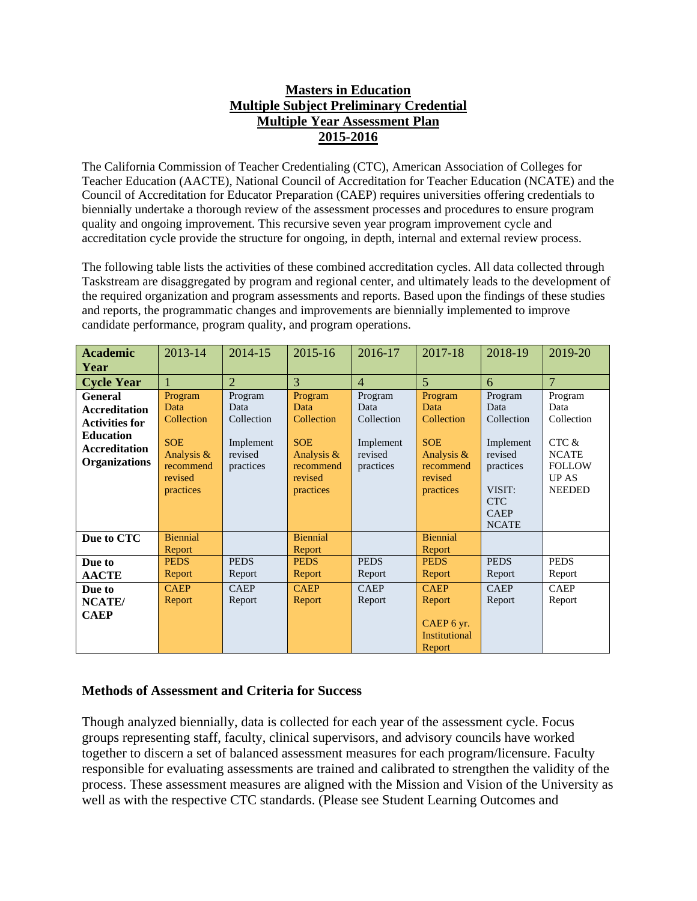## **Masters in Education Multiple Subject Preliminary Credential Multiple Year Assessment Plan 2015-2016**

The California Commission of Teacher Credentialing (CTC), American Association of Colleges for Teacher Education (AACTE), National Council of Accreditation for Teacher Education (NCATE) and the Council of Accreditation for Educator Preparation (CAEP) requires universities offering credentials to biennially undertake a thorough review of the assessment processes and procedures to ensure program quality and ongoing improvement. This recursive seven year program improvement cycle and accreditation cycle provide the structure for ongoing, in depth, internal and external review process.

The following table lists the activities of these combined accreditation cycles. All data collected through Taskstream are disaggregated by program and regional center, and ultimately leads to the development of the required organization and program assessments and reports. Based upon the findings of these studies and reports, the programmatic changes and improvements are biennially implemented to improve candidate performance, program quality, and program operations.

| <b>Academic</b>                                                                                                                     | 2013-14                                                                                        | 2014-15                                                            | 2015-16                                                                                        | 2016-17                                                            | 2017-18                                                                                        | 2018-19                                                                                                                   | 2019-20                                                                                                  |
|-------------------------------------------------------------------------------------------------------------------------------------|------------------------------------------------------------------------------------------------|--------------------------------------------------------------------|------------------------------------------------------------------------------------------------|--------------------------------------------------------------------|------------------------------------------------------------------------------------------------|---------------------------------------------------------------------------------------------------------------------------|----------------------------------------------------------------------------------------------------------|
| Year                                                                                                                                |                                                                                                |                                                                    |                                                                                                |                                                                    |                                                                                                |                                                                                                                           |                                                                                                          |
| <b>Cycle Year</b>                                                                                                                   |                                                                                                | $\overline{2}$                                                     | 3                                                                                              | $\overline{4}$                                                     | $\overline{5}$                                                                                 | 6                                                                                                                         | $\overline{7}$                                                                                           |
| <b>General</b><br><b>Accreditation</b><br><b>Activities for</b><br><b>Education</b><br><b>Accreditation</b><br><b>Organizations</b> | Program<br>Data<br>Collection<br><b>SOE</b><br>Analysis &<br>recommend<br>revised<br>practices | Program<br>Data<br>Collection<br>Implement<br>revised<br>practices | Program<br>Data<br>Collection<br><b>SOE</b><br>Analysis &<br>recommend<br>revised<br>practices | Program<br>Data<br>Collection<br>Implement<br>revised<br>practices | Program<br>Data<br>Collection<br><b>SOE</b><br>Analysis &<br>recommend<br>revised<br>practices | Program<br>Data<br>Collection<br>Implement<br>revised<br>practices<br>VISIT:<br><b>CTC</b><br><b>CAEP</b><br><b>NCATE</b> | Program<br>Data<br>Collection<br>CTC &<br><b>NCATE</b><br><b>FOLLOW</b><br><b>UP AS</b><br><b>NEEDED</b> |
| Due to CTC                                                                                                                          | <b>Biennial</b><br>Report                                                                      |                                                                    | <b>Biennial</b><br>Report                                                                      |                                                                    | <b>Biennial</b><br>Report                                                                      |                                                                                                                           |                                                                                                          |
| Due to                                                                                                                              | <b>PEDS</b>                                                                                    | <b>PEDS</b>                                                        | <b>PEDS</b>                                                                                    | <b>PEDS</b>                                                        | <b>PEDS</b>                                                                                    | <b>PEDS</b>                                                                                                               | <b>PEDS</b>                                                                                              |
| <b>AACTE</b>                                                                                                                        | Report                                                                                         | Report                                                             | Report                                                                                         | Report                                                             | Report                                                                                         | Report                                                                                                                    | Report                                                                                                   |
| Due to                                                                                                                              | <b>CAEP</b>                                                                                    | <b>CAEP</b>                                                        | <b>CAEP</b>                                                                                    | <b>CAEP</b>                                                        | <b>CAEP</b>                                                                                    | <b>CAEP</b>                                                                                                               | <b>CAEP</b>                                                                                              |
| NCATE/                                                                                                                              | Report                                                                                         | Report                                                             | Report                                                                                         | Report                                                             | Report                                                                                         | Report                                                                                                                    | Report                                                                                                   |
| <b>CAEP</b>                                                                                                                         |                                                                                                |                                                                    |                                                                                                |                                                                    | CAEP 6 yr.<br><b>Institutional</b><br>Report                                                   |                                                                                                                           |                                                                                                          |

## **Methods of Assessment and Criteria for Success**

Though analyzed biennially, data is collected for each year of the assessment cycle. Focus groups representing staff, faculty, clinical supervisors, and advisory councils have worked together to discern a set of balanced assessment measures for each program/licensure. Faculty responsible for evaluating assessments are trained and calibrated to strengthen the validity of the process. These assessment measures are aligned with the Mission and Vision of the University as well as with the respective CTC standards. (Please see Student Learning Outcomes and